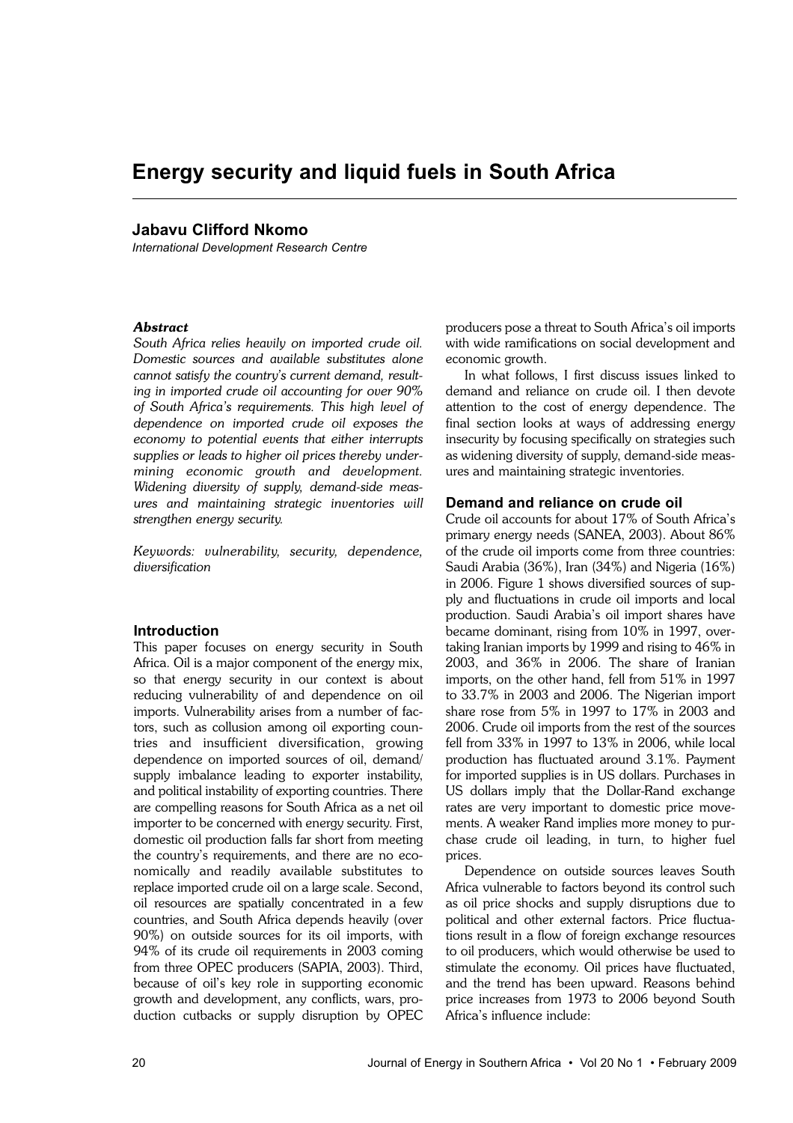# **Energy security and liquid fuels in South Africa**

# **Jabavu Clifford Nkomo**

*International Development Research Centre*

## *Abstract*

*South Africa relies heavily on imported crude oil. Domestic sources and available substitutes alone cannot satisfy the country's current demand, resulting in imported crude oil accounting for over 90% of South Africa's requirements. This high level of dependence on imported crude oil exposes the economy to potential events that either interrupts supplies or leads to higher oil prices thereby undermining economic growth and development. Widening diversity of supply, demand-side measures and maintaining strategic inventories will strengthen energy security.* 

*Keywords: vulnerability, security, dependence, diversification*

#### **Introduction**

This paper focuses on energy security in South Africa. Oil is a major component of the energy mix, so that energy security in our context is about reducing vulnerability of and dependence on oil imports. Vulnerability arises from a number of factors, such as collusion among oil exporting countries and insufficient diversification, growing dependence on imported sources of oil, demand/ supply imbalance leading to exporter instability, and political instability of exporting countries. There are compelling reasons for South Africa as a net oil importer to be concerned with energy security. First, domestic oil production falls far short from meeting the country's requirements, and there are no economically and readily available substitutes to replace imported crude oil on a large scale. Second, oil resources are spatially concentrated in a few countries, and South Africa depends heavily (over 90%) on outside sources for its oil imports, with 94% of its crude oil requirements in 2003 coming from three OPEC producers (SAPIA, 2003). Third, because of oil's key role in supporting economic growth and development, any conflicts, wars, production cutbacks or supply disruption by OPEC

producers pose a threat to South Africa's oil imports with wide ramifications on social development and economic growth.

In what follows, I first discuss issues linked to demand and reliance on crude oil. I then devote attention to the cost of energy dependence. The final section looks at ways of addressing energy insecurity by focusing specifically on strategies such as widening diversity of supply, demand-side measures and maintaining strategic inventories.

## **Demand and reliance on crude oil**

Crude oil accounts for about 17% of South Africa's primary energy needs (SANEA, 2003). About 86% of the crude oil imports come from three countries: Saudi Arabia (36%), Iran (34%) and Nigeria (16%) in 2006. Figure 1 shows diversified sources of supply and fluctuations in crude oil imports and local production. Saudi Arabia's oil import shares have became dominant, rising from 10% in 1997, overtaking Iranian imports by 1999 and rising to 46% in 2003, and 36% in 2006. The share of Iranian imports, on the other hand, fell from 51% in 1997 to 33.7% in 2003 and 2006. The Nigerian import share rose from 5% in 1997 to 17% in 2003 and 2006. Crude oil imports from the rest of the sources fell from 33% in 1997 to 13% in 2006, while local production has fluctuated around 3.1%. Payment for imported supplies is in US dollars. Purchases in US dollars imply that the Dollar-Rand exchange rates are very important to domestic price movements. A weaker Rand implies more money to purchase crude oil leading, in turn, to higher fuel prices.

Dependence on outside sources leaves South Africa vulnerable to factors beyond its control such as oil price shocks and supply disruptions due to political and other external factors. Price fluctuations result in a flow of foreign exchange resources to oil producers, which would otherwise be used to stimulate the economy. Oil prices have fluctuated, and the trend has been upward. Reasons behind price increases from 1973 to 2006 beyond South Africa's influence include: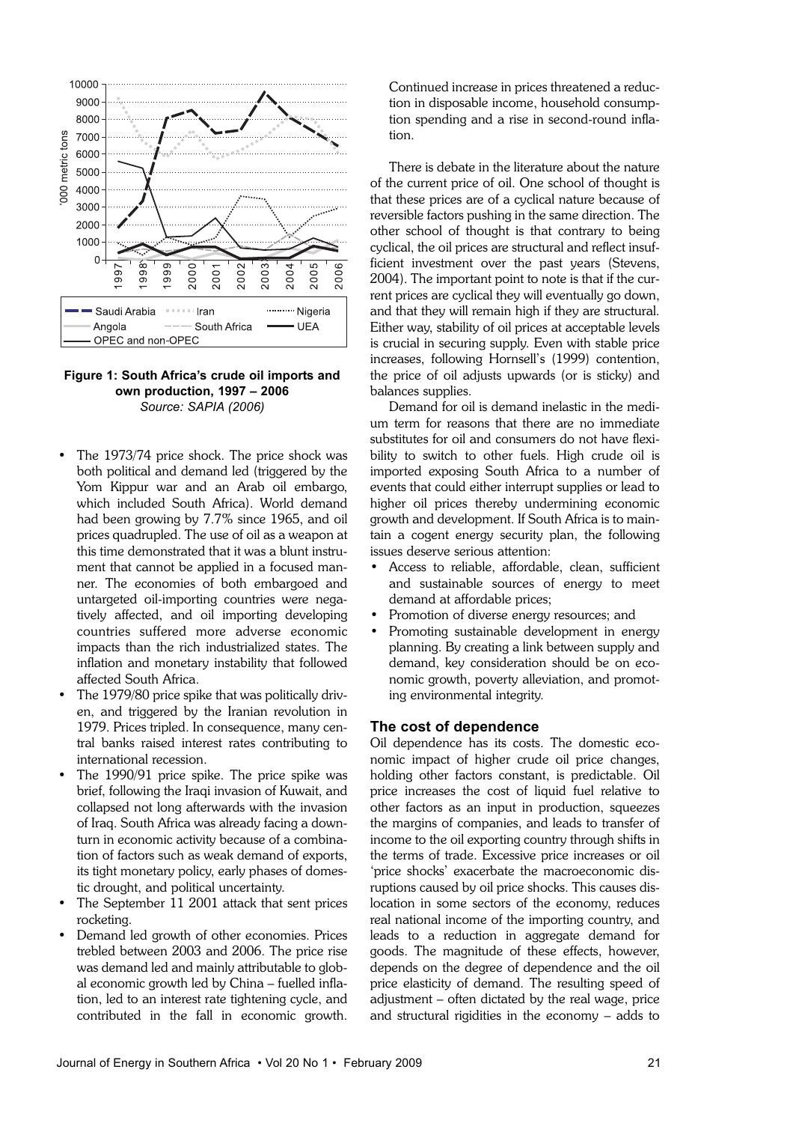

## **Figure 1: South Africa's crude oil imports and own production, 1997 – 2006** *Source: SAPIA (2006)*

- The 1973/74 price shock. The price shock was both political and demand led (triggered by the Yom Kippur war and an Arab oil embargo, which included South Africa). World demand had been growing by 7.7% since 1965, and oil prices quadrupled. The use of oil as a weapon at this time demonstrated that it was a blunt instrument that cannot be applied in a focused manner. The economies of both embargoed and untargeted oil-importing countries were negatively affected, and oil importing developing countries suffered more adverse economic impacts than the rich industrialized states. The inflation and monetary instability that followed affected South Africa.
- The 1979/80 price spike that was politically driven, and triggered by the Iranian revolution in 1979. Prices tripled. In consequence, many central banks raised interest rates contributing to international recession.
- The 1990/91 price spike. The price spike was brief, following the Iraqi invasion of Kuwait, and collapsed not long afterwards with the invasion of Iraq. South Africa was already facing a downturn in economic activity because of a combination of factors such as weak demand of exports, its tight monetary policy, early phases of domestic drought, and political uncertainty.
- The September 11 2001 attack that sent prices rocketing.
- Demand led growth of other economies. Prices trebled between 2003 and 2006. The price rise was demand led and mainly attributable to global economic growth led by China – fuelled inflation, led to an interest rate tightening cycle, and contributed in the fall in economic growth.

Continued increase in prices threatened a reduction in disposable income, household consumption spending and a rise in second-round inflation.

There is debate in the literature about the nature of the current price of oil. One school of thought is that these prices are of a cyclical nature because of reversible factors pushing in the same direction. The other school of thought is that contrary to being cyclical, the oil prices are structural and reflect insufficient investment over the past years (Stevens, 2004). The important point to note is that if the current prices are cyclical they will eventually go down, and that they will remain high if they are structural. Either way, stability of oil prices at acceptable levels is crucial in securing supply. Even with stable price increases, following Hornsell's (1999) contention, the price of oil adjusts upwards (or is sticky) and balances supplies.

Demand for oil is demand inelastic in the medium term for reasons that there are no immediate substitutes for oil and consumers do not have flexibility to switch to other fuels. High crude oil is imported exposing South Africa to a number of events that could either interrupt supplies or lead to higher oil prices thereby undermining economic growth and development. If South Africa is to maintain a cogent energy security plan, the following issues deserve serious attention:

- Access to reliable, affordable, clean, sufficient and sustainable sources of energy to meet demand at affordable prices;
- Promotion of diverse energy resources; and
- Promoting sustainable development in energy planning. By creating a link between supply and demand, key consideration should be on economic growth, poverty alleviation, and promoting environmental integrity.

#### **The cost of dependence**

Oil dependence has its costs. The domestic economic impact of higher crude oil price changes, holding other factors constant, is predictable. Oil price increases the cost of liquid fuel relative to other factors as an input in production, squeezes the margins of companies, and leads to transfer of income to the oil exporting country through shifts in the terms of trade. Excessive price increases or oil 'price shocks' exacerbate the macroeconomic disruptions caused by oil price shocks. This causes dislocation in some sectors of the economy, reduces real national income of the importing country, and leads to a reduction in aggregate demand for goods. The magnitude of these effects, however, depends on the degree of dependence and the oil price elasticity of demand. The resulting speed of adjustment – often dictated by the real wage, price and structural rigidities in the economy – adds to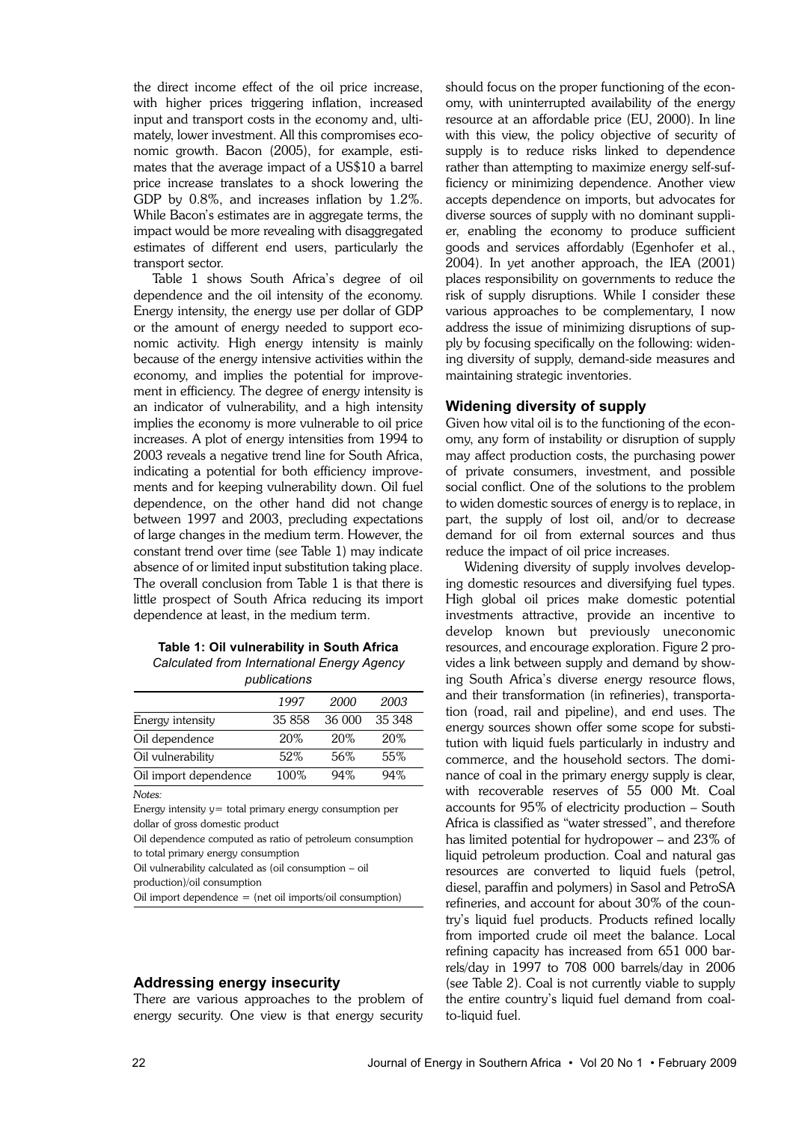the direct income effect of the oil price increase, with higher prices triggering inflation, increased input and transport costs in the economy and, ultimately, lower investment. All this compromises economic growth. Bacon (2005), for example, estimates that the average impact of a US\$10 a barrel price increase translates to a shock lowering the GDP by 0.8%, and increases inflation by 1.2%. While Bacon's estimates are in aggregate terms, the impact would be more revealing with disaggregated estimates of different end users, particularly the transport sector.

Table 1 shows South Africa's degree of oil dependence and the oil intensity of the economy. Energy intensity, the energy use per dollar of GDP or the amount of energy needed to support economic activity. High energy intensity is mainly because of the energy intensive activities within the economy, and implies the potential for improvement in efficiency. The degree of energy intensity is an indicator of vulnerability, and a high intensity implies the economy is more vulnerable to oil price increases. A plot of energy intensities from 1994 to 2003 reveals a negative trend line for South Africa, indicating a potential for both efficiency improvements and for keeping vulnerability down. Oil fuel dependence, on the other hand did not change between 1997 and 2003, precluding expectations of large changes in the medium term. However, the constant trend over time (see Table 1) may indicate absence of or limited input substitution taking place. The overall conclusion from Table 1 is that there is little prospect of South Africa reducing its import dependence at least, in the medium term.

#### **Table 1: Oil vulnerability in South Africa** *Calculated from International Energy Agency publications*

| pupincations          |        |        |        |  |
|-----------------------|--------|--------|--------|--|
|                       | 1997   | 2000   | 2003   |  |
| Energy intensity      | 35 858 | 36 000 | 35 348 |  |
| Oil dependence        | 20%    | 20%    | 20\%   |  |
| Oil vulnerability     | 52%    | .56%   | 55%    |  |
| Oil import dependence | 100%   | 94%    | 94%    |  |

*Notes:*

Energy intensity y= total primary energy consumption per dollar of gross domestic product

Oil dependence computed as ratio of petroleum consumption to total primary energy consumption

Oil vulnerability calculated as (oil consumption – oil production)/oil consumption

Oil import dependence = (net oil imports/oil consumption)

#### **Addressing energy insecurity**

There are various approaches to the problem of energy security. One view is that energy security

should focus on the proper functioning of the economy, with uninterrupted availability of the energy resource at an affordable price (EU, 2000). In line with this view, the policy objective of security of supply is to reduce risks linked to dependence rather than attempting to maximize energy self-sufficiency or minimizing dependence. Another view accepts dependence on imports, but advocates for diverse sources of supply with no dominant supplier, enabling the economy to produce sufficient goods and services affordably (Egenhofer et al., 2004). In yet another approach, the IEA (2001) places responsibility on governments to reduce the risk of supply disruptions. While I consider these various approaches to be complementary, I now address the issue of minimizing disruptions of supply by focusing specifically on the following: widening diversity of supply, demand-side measures and maintaining strategic inventories.

## **Widening diversity of supply**

Given how vital oil is to the functioning of the economy, any form of instability or disruption of supply may affect production costs, the purchasing power of private consumers, investment, and possible social conflict. One of the solutions to the problem to widen domestic sources of energy is to replace, in part, the supply of lost oil, and/or to decrease demand for oil from external sources and thus reduce the impact of oil price increases.

Widening diversity of supply involves developing domestic resources and diversifying fuel types. High global oil prices make domestic potential investments attractive, provide an incentive to develop known but previously uneconomic resources, and encourage exploration. Figure 2 provides a link between supply and demand by showing South Africa's diverse energy resource flows, and their transformation (in refineries), transportation (road, rail and pipeline), and end uses. The energy sources shown offer some scope for substitution with liquid fuels particularly in industry and commerce, and the household sectors. The dominance of coal in the primary energy supply is clear, with recoverable reserves of 55 000 Mt. Coal accounts for 95% of electricity production – South Africa is classified as "water stressed", and therefore has limited potential for hydropower – and 23% of liquid petroleum production. Coal and natural gas resources are converted to liquid fuels (petrol, diesel, paraffin and polymers) in Sasol and PetroSA refineries, and account for about 30% of the country's liquid fuel products. Products refined locally from imported crude oil meet the balance. Local refining capacity has increased from 651 000 barrels/day in 1997 to 708 000 barrels/day in 2006 (see Table 2). Coal is not currently viable to supply the entire country's liquid fuel demand from coalto-liquid fuel.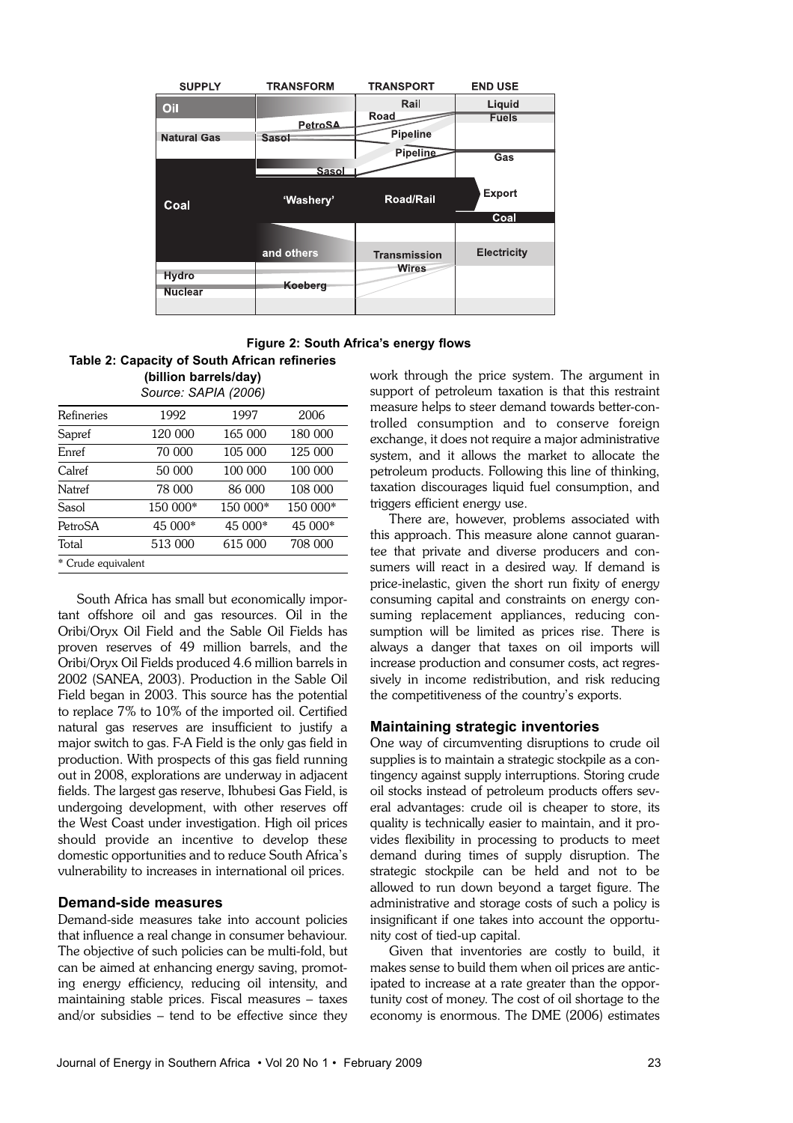

**Figure 2: South Africa's energy flows**

# **Table 2: Capacity of South African refineries (billion barrels/day)**

| Source: SAPIA (2006) |          |          |          |  |
|----------------------|----------|----------|----------|--|
| Refineries           | 1992     | 1997     | 2006     |  |
| Sapref               | 120 000  | 165 000  | 180 000  |  |
| Enref                | 70 000   | 105 000  | 125 000  |  |
| Calref               | 50 000   | 100 000  | 100 000  |  |
| Natref               | 78 000   | 86 000   | 108 000  |  |
| Sasol                | 150 000* | 150 000* | 150 000* |  |
| PetroSA              | 45 000*  | 45 000*  | 45 000*  |  |
| Total                | 513 000  | 615 000  | 708 000  |  |
| * Crude equivalent   |          |          |          |  |

South Africa has small but economically important offshore oil and gas resources. Oil in the Oribi/Oryx Oil Field and the Sable Oil Fields has proven reserves of 49 million barrels, and the Oribi/Oryx Oil Fields produced 4.6 million barrels in 2002 (SANEA, 2003). Production in the Sable Oil Field began in 2003. This source has the potential to replace 7% to 10% of the imported oil. Certified natural gas reserves are insufficient to justify a major switch to gas. F-A Field is the only gas field in production. With prospects of this gas field running out in 2008, explorations are underway in adjacent fields. The largest gas reserve, Ibhubesi Gas Field, is undergoing development, with other reserves off the West Coast under investigation. High oil prices should provide an incentive to develop these domestic opportunities and to reduce South Africa's vulnerability to increases in international oil prices.

# **Demand-side measures**

Demand-side measures take into account policies that influence a real change in consumer behaviour. The objective of such policies can be multi-fold, but can be aimed at enhancing energy saving, promoting energy efficiency, reducing oil intensity, and maintaining stable prices. Fiscal measures – taxes and/or subsidies – tend to be effective since they work through the price system. The argument in support of petroleum taxation is that this restraint measure helps to steer demand towards better-controlled consumption and to conserve foreign exchange, it does not require a major administrative system, and it allows the market to allocate the petroleum products. Following this line of thinking, taxation discourages liquid fuel consumption, and triggers efficient energy use.

There are, however, problems associated with this approach. This measure alone cannot guarantee that private and diverse producers and consumers will react in a desired way. If demand is price-inelastic, given the short run fixity of energy consuming capital and constraints on energy consuming replacement appliances, reducing consumption will be limited as prices rise. There is always a danger that taxes on oil imports will increase production and consumer costs, act regressively in income redistribution, and risk reducing the competitiveness of the country's exports.

# **Maintaining strategic inventories**

One way of circumventing disruptions to crude oil supplies is to maintain a strategic stockpile as a contingency against supply interruptions. Storing crude oil stocks instead of petroleum products offers several advantages: crude oil is cheaper to store, its quality is technically easier to maintain, and it provides flexibility in processing to products to meet demand during times of supply disruption. The strategic stockpile can be held and not to be allowed to run down beyond a target figure. The administrative and storage costs of such a policy is insignificant if one takes into account the opportunity cost of tied-up capital.

Given that inventories are costly to build, it makes sense to build them when oil prices are anticipated to increase at a rate greater than the opportunity cost of money. The cost of oil shortage to the economy is enormous. The DME (2006) estimates